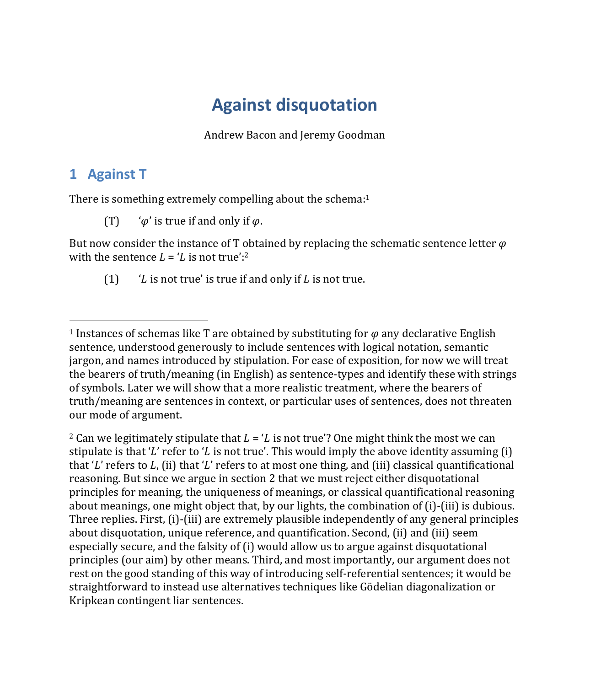# **Against disquotation**

Andrew Bacon and Jeremy Goodman

## **1 Against T**

There is something extremely compelling about the schema:<sup>1</sup>

(T)  $\varphi'$  is true if and only if  $\varphi$ .

But now consider the instance of T obtained by replacing the schematic sentence letter  $\varphi$ with the sentence  $L = L$  is not true':<sup>2</sup>

(1)  $\angle$  'L is not true' is true if and only if L is not true.

<sup>2</sup> Can we legitimately stipulate that  $L = L$  is not true'? One might think the most we can stipulate is that 'L' refer to 'L is not true'. This would imply the above identity assuming (i) that 'L' refers to  $L$ , (ii) that 'L' refers to at most one thing, and (iii) classical quantificational reasoning. But since we argue in section 2 that we must reject either disquotational principles for meaning, the uniqueness of meanings, or classical quantificational reasoning about meanings, one might object that, by our lights, the combination of (i)-(iii) is dubious. Three replies. First, (i)-(iii) are extremely plausible independently of any general principles about disquotation, unique reference, and quantification. Second, (ii) and (iii) seem especially secure, and the falsity of (i) would allow us to argue against disquotational principles (our aim) by other means. Third, and most importantly, our argument does not rest on the good standing of this way of introducing self-referential sentences; it would be straightforward to instead use alternatives techniques like Gödelian diagonalization or Kripkean contingent liar sentences.

<sup>&</sup>lt;sup>1</sup> Instances of schemas like T are obtained by substituting for  $\varphi$  any declarative English sentence, understood generously to include sentences with logical notation, semantic jargon, and names introduced by stipulation. For ease of exposition, for now we will treat the bearers of truth/meaning (in English) as sentence-types and identify these with strings of symbols. Later we will show that a more realistic treatment, where the bearers of truth/meaning are sentences in context, or particular uses of sentences, does not threaten our mode of argument.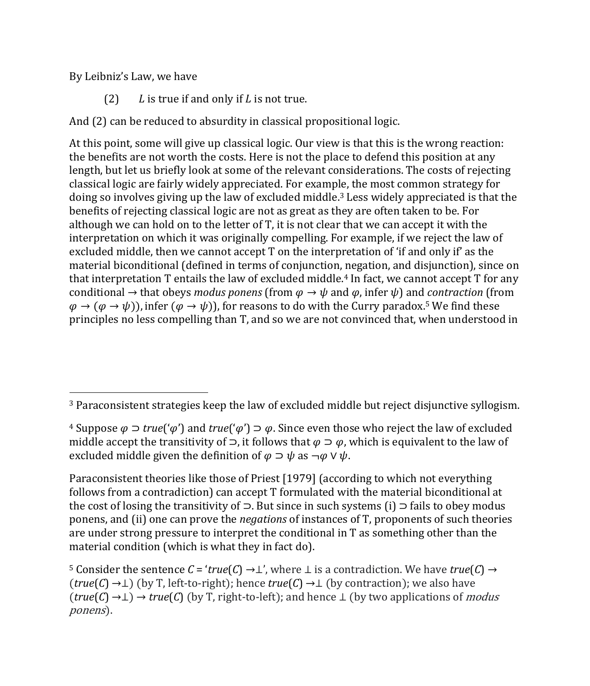By Leibniz's Law, we have

(2)  $L$  is true if and only if  $L$  is not true.

And (2) can be reduced to absurdity in classical propositional logic.

At this point, some will give up classical logic. Our view is that this is the wrong reaction: the benefits are not worth the costs. Here is not the place to defend this position at any length, but let us briefly look at some of the relevant considerations. The costs of rejecting classical logic are fairly widely appreciated. For example, the most common strategy for doing so involves giving up the law of excluded middle.3 Less widely appreciated is that the benefits of rejecting classical logic are not as great as they are often taken to be. For although we can hold on to the letter of T, it is not clear that we can accept it with the interpretation on which it was originally compelling. For example, if we reject the law of excluded middle, then we cannot accept T on the interpretation of 'if and only if' as the material biconditional (defined in terms of conjunction, negation, and disjunction), since on that interpretation  $T$  entails the law of excluded middle.<sup>4</sup> In fact, we cannot accept  $T$  for any conditional  $\rightarrow$  that obeys *modus ponens* (from  $\varphi \rightarrow \psi$  and  $\varphi$ , infer  $\psi$ ) and *contraction* (from  $\varphi \to (\varphi \to \psi)$ , infer  $(\varphi \to \psi)$ , for reasons to do with the Curry paradox.<sup>5</sup> We find these principles no less compelling than T, and so we are not convinced that, when understood in

Paraconsistent theories like those of Priest [1979] (according to which not everything follows from a contradiction) can accept T formulated with the material biconditional at the cost of losing the transitivity of  $\supset$ . But since in such systems (i)  $\supset$  fails to obey modus ponens, and (ii) one can prove the *negations* of instances of T, proponents of such theories are under strong pressure to interpret the conditional in T as something other than the material condition (which is what they in fact do).

<sup>3</sup> Paraconsistent strategies keep the law of excluded middle but reject disjunctive syllogism.

<sup>&</sup>lt;sup>4</sup> Suppose  $\varphi$  ⊃ *true*(' $\varphi$ ') and *true*(' $\varphi$ ')  $\varphi$ . Since even those who reject the law of excluded middle accept the transitivity of  $\supset$ , it follows that  $\varphi \supset \varphi$ , which is equivalent to the law of excluded middle given the definition of  $\varphi \supset \psi$  as  $\neg \varphi \vee \psi$ .

<sup>5</sup> Consider the sentence  $C = 'true(C) \rightarrow \perp'$ , where  $\perp$  is a contradiction. We have  $true(C) \rightarrow$  $(true(C) \rightarrow \perp)$  (by T, left-to-right); hence  $true(C) \rightarrow \perp$  (by contraction); we also have (*true*(*C*) →⊥) → *true*(*C*) (by T, right-to-left); and hence ⊥ (by two applications of *modus* ponens).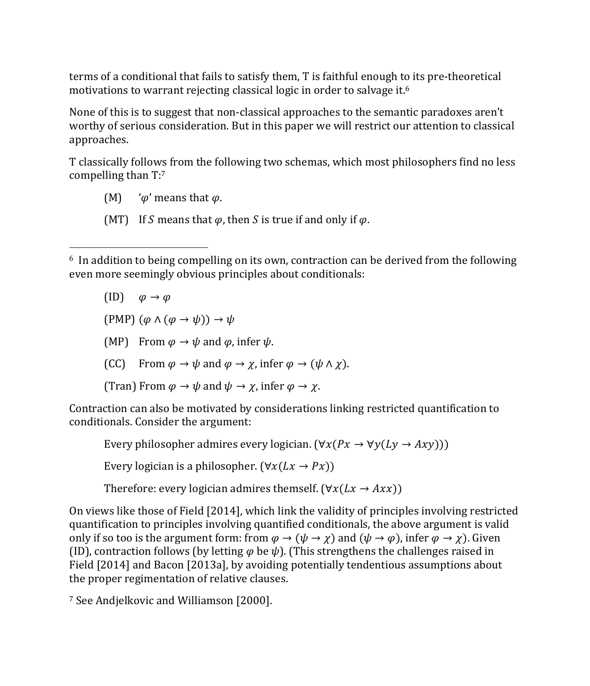terms of a conditional that fails to satisfy them, T is faithful enough to its pre-theoretical motivations to warrant rejecting classical logic in order to salvage it.<sup>6</sup>

None of this is to suggest that non-classical approaches to the semantic paradoxes aren't worthy of serious consideration. But in this paper we will restrict our attention to classical approaches.

T classically follows from the following two schemas, which most philosophers find no less compelling than T:7

(M)  $\theta'$  means that  $\varphi$ .

(MT) If S means that  $\varphi$ , then S is true if and only if  $\varphi$ .

- $(ID)$   $\varphi \rightarrow \varphi$
- (PMP)  $(\varphi \land (\varphi \rightarrow \psi)) \rightarrow \psi$
- (MP) From  $\varphi \to \psi$  and  $\varphi$ , infer  $\psi$ .
- (CC) From  $\varphi \to \psi$  and  $\varphi \to \gamma$ , infer  $\varphi \to (\psi \land \gamma)$ .
- (Tran) From  $\varphi \to \psi$  and  $\psi \to \chi$ , infer  $\varphi \to \chi$ .

Contraction can also be motivated by considerations linking restricted quantification to conditionals. Consider the argument:

Every philosopher admires every logician.  $(\forall x(Px \rightarrow \forall y(Ly \rightarrow Axy)))$ 

Every logician is a philosopher. ( $\forall x(Lx \rightarrow Px)$ )

Therefore: every logician admires themself. ( $\forall x(Lx \rightarrow Axx)$ )

On views like those of Field [2014], which link the validity of principles involving restricted quantification to principles involving quantified conditionals, the above argument is valid only if so too is the argument form: from  $\varphi \to (\psi \to \chi)$  and  $(\psi \to \varphi)$ , infer  $\varphi \to \chi$ ). Given (ID), contraction follows (by letting  $\varphi$  be  $\psi$ ). (This strengthens the challenges raised in Field [2014] and Bacon [2013a], by avoiding potentially tendentious assumptions about the proper regimentation of relative clauses.

<sup>7</sup> See Andjelkovic and Williamson [2000].

<sup>&</sup>lt;sup>6</sup> In addition to being compelling on its own, contraction can be derived from the following even more seemingly obvious principles about conditionals: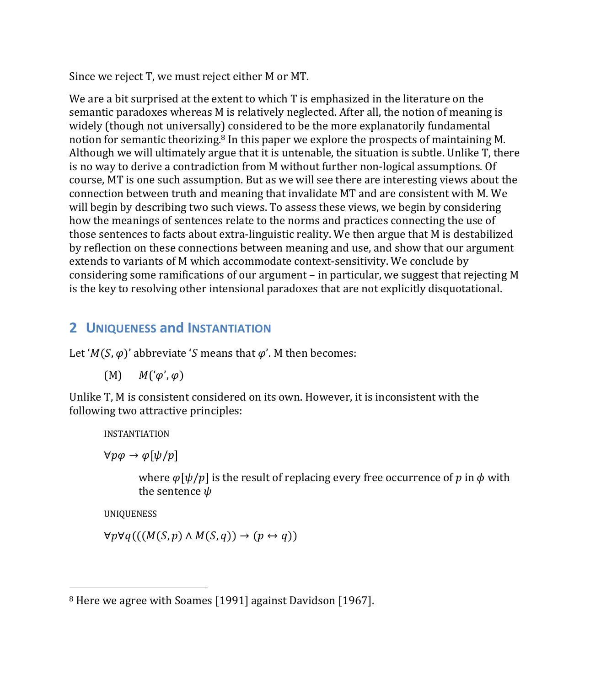Since we reject T, we must reject either M or MT.

We are a bit surprised at the extent to which T is emphasized in the literature on the semantic paradoxes whereas M is relatively neglected. After all, the notion of meaning is widely (though not universally) considered to be the more explanatorily fundamental notion for semantic theorizing.<sup>8</sup> In this paper we explore the prospects of maintaining M. Although we will ultimately argue that it is untenable, the situation is subtle. Unlike T, there is no way to derive a contradiction from M without further non-logical assumptions. Of course, MT is one such assumption. But as we will see there are interesting views about the connection between truth and meaning that invalidate MT and are consistent with M. We will begin by describing two such views. To assess these views, we begin by considering how the meanings of sentences relate to the norms and practices connecting the use of those sentences to facts about extra-linguistic reality. We then argue that M is destabilized by reflection on these connections between meaning and use, and show that our argument extends to variants of M which accommodate context-sensitivity. We conclude by considering some ramifications of our argument – in particular, we suggest that rejecting M is the key to resolving other intensional paradoxes that are not explicitly disquotational.

#### **2 UNIQUENESS and INSTANTIATION**

Let ' $M(S,\varphi)$ ' abbreviate 'S means that  $\varphi'$ . M then becomes:

$$
(M) \qquad M'(\varphi',\varphi)
$$

Unlike T, M is consistent considered on its own. However, it is inconsistent with the following two attractive principles:

INSTANTIATION

 $\forall p \varphi \rightarrow \varphi[\psi/p]$ 

where  $\varphi[\psi/p]$  is the result of replacing every free occurrence of p in  $\varphi$  with the sentence  $\psi$ 

UNIQUENESS

 $\forall p \forall q (((M(S, p) \land M(S, q)) \rightarrow (p \leftrightarrow q))$ 

<sup>8</sup> Here we agree with Soames [1991] against Davidson [1967].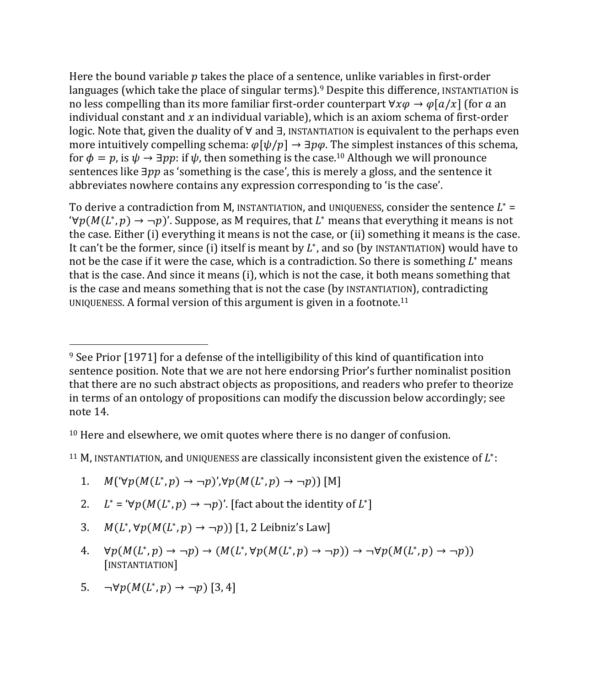Here the bound variable  $p$  takes the place of a sentence, unlike variables in first-order languages (which take the place of singular terms).<sup>9</sup> Despite this difference, INSTANTIATION is no less compelling than its more familiar first-order counterpart  $\forall x \varphi \rightarrow \varphi[a/x]$  (for  $a$  an individual constant and  $x$  an individual variable), which is an axiom schema of first-order logic. Note that, given the duality of ∀ and ∃, INSTANTIATION is equivalent to the perhaps even more intuitively compelling schema:  $\varphi[\psi/p] \rightarrow \exists p\varphi$ . The simplest instances of this schema, for  $\phi = p$ , is  $\psi \rightarrow \exists pp$ : if  $\psi$ , then something is the case.<sup>10</sup> Although we will pronounce sentences like  $\exists pp$  as 'something is the case', this is merely a gloss, and the sentence it abbreviates nowhere contains any expression corresponding to 'is the case'.

To derive a contradiction from M, INSTANTIATION, and UNIQUENESS, consider the sentence  $L^*$  =  $\forall p(M(L^*, p) \rightarrow \neg p)'$ . Suppose, as M requires, that  $L^*$  means that everything it means is not the case. Either (i) everything it means is not the case, or (ii) something it means is the case. It can't be the former, since (i) itself is meant by  $L^*$ , and so (by INSTANTIATION) would have to not be the case if it were the case, which is a contradiction. So there is something  $L^*$  means that is the case. And since it means (i), which is not the case, it both means something that is the case and means something that is not the case (by INSTANTIATION), contradicting UNIQUENESS. A formal version of this argument is given in a footnote.11

<sup>10</sup> Here and elsewhere, we omit quotes where there is no danger of confusion.

<sup>11</sup> M, INSTANTIATION, and UNIQUENESS are classically inconsistent given the existence of  $L^*$ :

1. 
$$
M(\forall p(M(L^*, p) \to \neg p) \land \forall p(M(L^*, p) \to \neg p))
$$
 [M]

- 2.  $L^* = \forall p(M(L^*, p) \rightarrow \neg p)'$ . [fact about the identity of  $L^*$ ]
- 3.  $M(L^*, \forall p(M(L^*, p) \rightarrow \neg p))$  [1, 2 Leibniz's Law]
- 4.  $\forall p(M(L^*, p) \rightarrow \neg p) \rightarrow (M(L^*, \forall p(M(L^*, p) \rightarrow \neg p)) \rightarrow \neg \forall p(M(L^*, p) \rightarrow \neg p))$ [INSTANTIATION]
- 5.  $\neg \forall p(M(L^*, p) \rightarrow \neg p)$  [3, 4]

<sup>9</sup> See Prior [1971] for a defense of the intelligibility of this kind of quantification into sentence position. Note that we are not here endorsing Prior's further nominalist position that there are no such abstract objects as propositions, and readers who prefer to theorize in terms of an ontology of propositions can modify the discussion below accordingly; see note 14.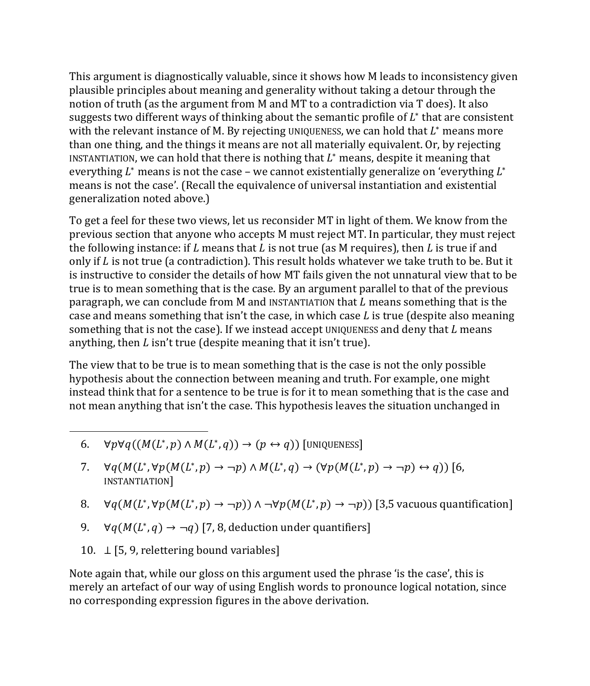This argument is diagnostically valuable, since it shows how M leads to inconsistency given plausible principles about meaning and generality without taking a detour through the notion of truth (as the argument from M and MT to a contradiction via T does). It also suggests two different ways of thinking about the semantic profile of  $L^*$  that are consistent with the relevant instance of M. By rejecting UNIQUENESS, we can hold that  $L^*$  means more than one thing, and the things it means are not all materially equivalent. Or, by rejecting INSTANTIATION, we can hold that there is nothing that  $L^*$  means, despite it meaning that everything  $L^*$  means is not the case – we cannot existentially generalize on 'everything  $L^*$ means is not the case'. (Recall the equivalence of universal instantiation and existential generalization noted above.)

To get a feel for these two views, let us reconsider MT in light of them. We know from the previous section that anyone who accepts M must reject MT. In particular, they must reject the following instance: if L means that L is not true (as M requires), then L is true if and only if  $L$  is not true (a contradiction). This result holds whatever we take truth to be. But it is instructive to consider the details of how MT fails given the not unnatural view that to be true is to mean something that is the case. By an argument parallel to that of the previous paragraph, we can conclude from M and INSTANTIATION that  $L$  means something that is the case and means something that isn't the case, in which case  $L$  is true (despite also meaning something that is not the case). If we instead accept UNIQUENESS and deny that  $L$  means anything, then  $L$  isn't true (despite meaning that it isn't true).

The view that to be true is to mean something that is the case is not the only possible hypothesis about the connection between meaning and truth. For example, one might instead think that for a sentence to be true is for it to mean something that is the case and not mean anything that isn't the case. This hypothesis leaves the situation unchanged in

- 6.  $\forall p \forall q((M(L^*, p) \land M(L^*, q)) \rightarrow (p \leftrightarrow q))$  [UNIQUENESS]
- 7.  $\forall q(M(L^*, \forall p(M(L^*, p) \rightarrow \neg p) \land M(L^*, q) \rightarrow (\forall p(M(L^*, p) \rightarrow \neg p) \leftrightarrow q))$  [6, INSTANTIATION]
- 8.  $\forall q(M(L^*, \forall p(M(L^*, p) \rightarrow \neg p)) \land \neg \forall p(M(L^*, p) \rightarrow \neg p))$  [3,5 vacuous quantification]
- 9.  $\forall q(M(L^*, q) \rightarrow \neg q)$  [7, 8, deduction under quantifiers]
- 10. ⊥ [5, 9, relettering bound variables]

Note again that, while our gloss on this argument used the phrase 'is the case', this is merely an artefact of our way of using English words to pronounce logical notation, since no corresponding expression figures in the above derivation.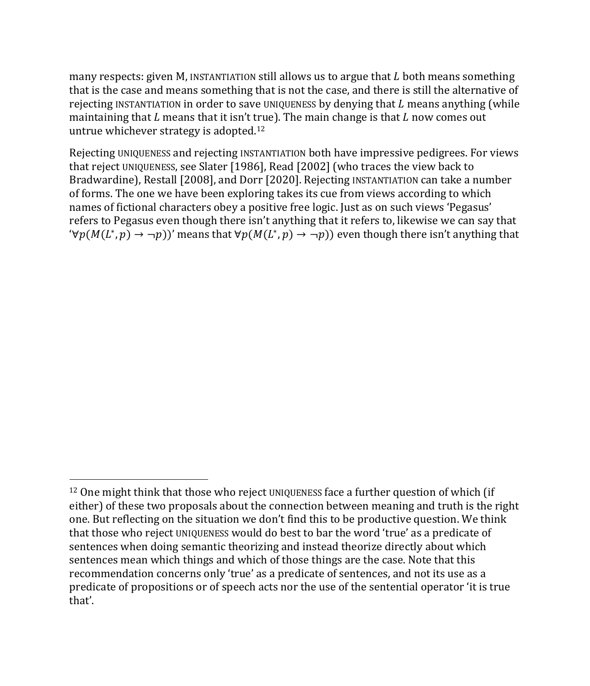many respects: given M, INSTANTIATION still allows us to argue that  $L$  both means something that is the case and means something that is not the case, and there is still the alternative of rejecting INSTANTIATION in order to save UNIQUENESS by denying that  $L$  means anything (while maintaining that  $L$  means that it isn't true). The main change is that  $L$  now comes out untrue whichever strategy is adopted.12

Rejecting UNIQUENESS and rejecting INSTANTIATION both have impressive pedigrees. For views that reject UNIQUENESS, see Slater [1986], Read [2002] (who traces the view back to Bradwardine), Restall [2008], and Dorr [2020]. Rejecting INSTANTIATION can take a number of forms. The one we have been exploring takes its cue from views according to which names of fictional characters obey a positive free logic. Just as on such views 'Pegasus' refers to Pegasus even though there isn't anything that it refers to, likewise we can say that  $\forall p(M(L^*, p) \rightarrow \neg p)$ )' means that  $\forall p(M(L^*, p) \rightarrow \neg p)$ ) even though there isn't anything that

<sup>&</sup>lt;sup>12</sup> One might think that those who reject UNIQUENESS face a further question of which (if either) of these two proposals about the connection between meaning and truth is the right one. But reflecting on the situation we don't find this to be productive question. We think that those who reject UNIQUENESS would do best to bar the word 'true' as a predicate of sentences when doing semantic theorizing and instead theorize directly about which sentences mean which things and which of those things are the case. Note that this recommendation concerns only 'true' as a predicate of sentences, and not its use as a predicate of propositions or of speech acts nor the use of the sentential operator 'it is true that'.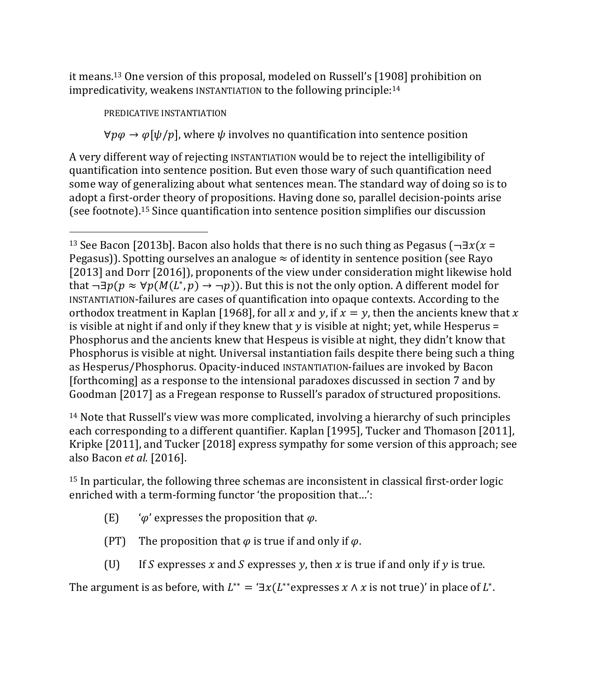it means.13 One version of this proposal, modeled on Russell's [1908] prohibition on impredicativity, weakens INSTANTIATION to the following principle:14

PREDICATIVE INSTANTIATION

 $\forall p \varphi \rightarrow \varphi[\psi/p]$ , where  $\psi$  involves no quantification into sentence position

A very different way of rejecting INSTANTIATION would be to reject the intelligibility of quantification into sentence position. But even those wary of such quantification need some way of generalizing about what sentences mean. The standard way of doing so is to adopt a first-order theory of propositions. Having done so, parallel decision-points arise (see footnote).15 Since quantification into sentence position simplifies our discussion

<sup>14</sup> Note that Russell's view was more complicated, involving a hierarchy of such principles each corresponding to a different quantifier. Kaplan [1995], Tucker and Thomason [2011], Kripke [2011], and Tucker [2018] express sympathy for some version of this approach; see also Bacon *et al.* [2016].

<sup>15</sup> In particular, the following three schemas are inconsistent in classical first-order logic enriched with a term-forming functor 'the proposition that…':

- (E)  $\hat{\varphi}$  expresses the proposition that  $\varphi$ .
- (PT) The proposition that  $\varphi$  is true if and only if  $\varphi$ .
- (U) If S expresses x and S expresses y, then x is true if and only if y is true.

The argument is as before, with  $L^{**} = \exists x(L^{**}$  expresses  $x \wedge x$  is not true)' in place of  $L^*$ .

<sup>&</sup>lt;sup>13</sup> See Bacon [2013b]. Bacon also holds that there is no such thing as Pegasus ( $\neg \exists x(x = 1$ Pegasus)). Spotting ourselves an analogue  $\approx$  of identity in sentence position (see Rayo [2013] and Dorr [2016]), proponents of the view under consideration might likewise hold that  $\neg \exists p(p \approx \forall p(M(L^*, p) \rightarrow \neg p))$ . But this is not the only option. A different model for INSTANTIATION-failures are cases of quantification into opaque contexts. According to the orthodox treatment in Kaplan [1968], for all x and y, if  $x = y$ , then the ancients knew that x is visible at night if and only if they knew that  $y$  is visible at night; yet, while Hesperus = Phosphorus and the ancients knew that Hespeus is visible at night, they didn't know that Phosphorus is visible at night. Universal instantiation fails despite there being such a thing as Hesperus/Phosphorus. Opacity-induced INSTANTIATION-failues are invoked by Bacon [forthcoming] as a response to the intensional paradoxes discussed in section 7 and by Goodman [2017] as a Fregean response to Russell's paradox of structured propositions.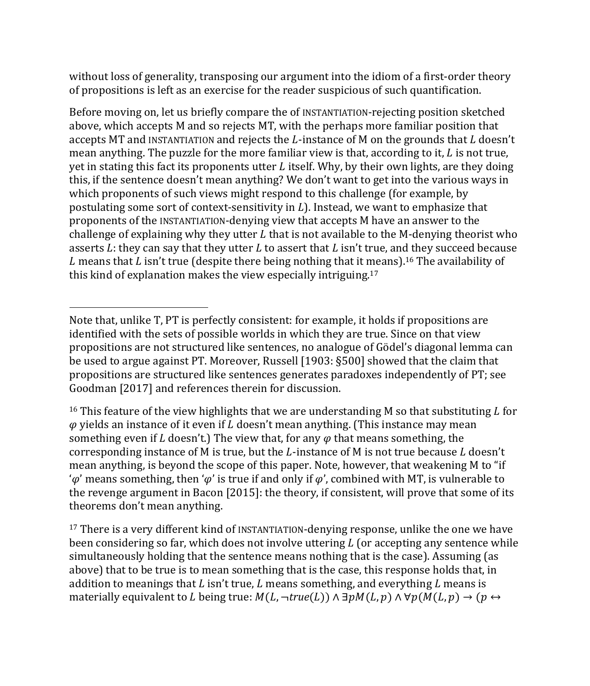without loss of generality, transposing our argument into the idiom of a first-order theory of propositions is left as an exercise for the reader suspicious of such quantification.

Before moving on, let us briefly compare the of INSTANTIATION-rejecting position sketched above, which accepts M and so rejects MT, with the perhaps more familiar position that accepts MT and INSTANTIATION and rejects the  $L$ -instance of M on the grounds that  $L$  doesn't mean anything. The puzzle for the more familiar view is that, according to it,  $L$  is not true, yet in stating this fact its proponents utter  $L$  itself. Why, by their own lights, are they doing this, if the sentence doesn't mean anything? We don't want to get into the various ways in which proponents of such views might respond to this challenge (for example, by postulating some sort of context-sensitivity in  $L$ ). Instead, we want to emphasize that proponents of the INSTANTIATION-denying view that accepts M have an answer to the challenge of explaining why they utter  $L$  that is not available to the M-denying theorist who asserts L; they can say that they utter L to assert that L isn't true, and they succeed because L means that L isn't true (despite there being nothing that it means).<sup>16</sup> The availability of this kind of explanation makes the view especially intriguing.17

<sup>16</sup> This feature of the view highlights that we are understanding M so that substituting L for  $\varphi$  yields an instance of it even if L doesn't mean anything. (This instance may mean something even if L doesn't.) The view that, for any  $\varphi$  that means something, the corresponding instance of M is true, but the  $L$ -instance of M is not true because  $L$  doesn't mean anything, is beyond the scope of this paper. Note, however, that weakening M to "if ' $\varphi'$  means something, then ' $\varphi'$  is true if and only if  $\varphi'$ , combined with MT, is vulnerable to the revenge argument in Bacon [2015]: the theory, if consistent, will prove that some of its theorems don't mean anything.

<sup>17</sup> There is a very different kind of INSTANTIATION-denying response, unlike the one we have been considering so far, which does not involve uttering  $L$  (or accepting any sentence while simultaneously holding that the sentence means nothing that is the case). Assuming (as above) that to be true is to mean something that is the case, this response holds that, in addition to meanings that  $L$  isn't true,  $L$  means something, and everything  $L$  means is materially equivalent to L being true:  $M(L, \neg true(L)) \wedge \exists p M(L, p) \wedge \forall p (M(L, p) \rightarrow (p \leftrightarrow p)$ 

Note that, unlike T, PT is perfectly consistent: for example, it holds if propositions are identified with the sets of possible worlds in which they are true. Since on that view propositions are not structured like sentences, no analogue of Gödel's diagonal lemma can be used to argue against PT. Moreover, Russell [1903: §500] showed that the claim that propositions are structured like sentences generates paradoxes independently of PT; see Goodman [2017] and references therein for discussion.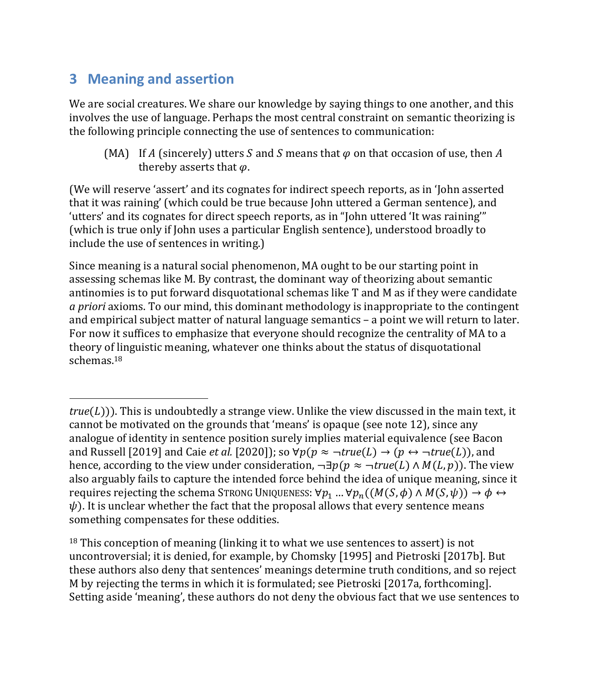#### **3 Meaning and assertion**

We are social creatures. We share our knowledge by saying things to one another, and this involves the use of language. Perhaps the most central constraint on semantic theorizing is the following principle connecting the use of sentences to communication:

(MA) If A (sincerely) utters S and S means that  $\varphi$  on that occasion of use, then A thereby asserts that  $\varphi$ .

(We will reserve 'assert' and its cognates for indirect speech reports, as in 'John asserted that it was raining' (which could be true because John uttered a German sentence), and 'utters' and its cognates for direct speech reports, as in "John uttered 'It was raining'" (which is true only if John uses a particular English sentence), understood broadly to include the use of sentences in writing.)

Since meaning is a natural social phenomenon, MA ought to be our starting point in assessing schemas like M. By contrast, the dominant way of theorizing about semantic antinomies is to put forward disquotational schemas like T and M as if they were candidate *a priori* axioms. To our mind, this dominant methodology is inappropriate to the contingent and empirical subject matter of natural language semantics – a point we will return to later. For now it suffices to emphasize that everyone should recognize the centrality of MA to a theory of linguistic meaning, whatever one thinks about the status of disquotational schemas.18

<sup>18</sup> This conception of meaning (linking it to what we use sentences to assert) is not uncontroversial; it is denied, for example, by Chomsky [1995] and Pietroski [2017b]. But these authors also deny that sentences' meanings determine truth conditions, and so reject M by rejecting the terms in which it is formulated; see Pietroski [2017a, forthcoming]. Setting aside 'meaning', these authors do not deny the obvious fact that we use sentences to

 $true(L))$ ). This is undoubtedly a strange view. Unlike the view discussed in the main text, it cannot be motivated on the grounds that 'means' is opaque (see note 12), since any analogue of identity in sentence position surely implies material equivalence (see Bacon and Russell [2019] and Caie *et al.* [2020]); so  $\forall p(p \approx \neg true(L) \rightarrow (p \leftrightarrow \neg true(L))$ , and hence, according to the view under consideration,  $\neg \exists p (p \approx \neg true(L) \land M(L, p))$ . The view also arguably fails to capture the intended force behind the idea of unique meaning, since it requires rejecting the schema STRONG UNIQUENESS:  $\forall p_1 ... \forall p_n ((M(S, \phi) \land M(S, \psi)) \rightarrow \phi \leftrightarrow$  $\psi$ ). It is unclear whether the fact that the proposal allows that every sentence means something compensates for these oddities.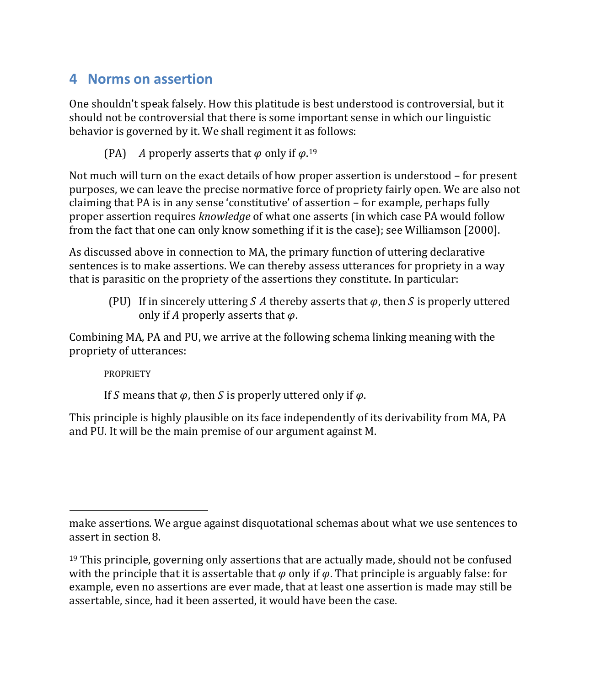#### **4 Norms on assertion**

One shouldn't speak falsely. How this platitude is best understood is controversial, but it should not be controversial that there is some important sense in which our linguistic behavior is governed by it. We shall regiment it as follows:

(PA) A properly asserts that  $\varphi$  only if  $\varphi$ .<sup>19</sup>

Not much will turn on the exact details of how proper assertion is understood – for present purposes, we can leave the precise normative force of propriety fairly open. We are also not claiming that PA is in any sense 'constitutive' of assertion – for example, perhaps fully proper assertion requires *knowledge* of what one asserts (in which case PA would follow from the fact that one can only know something if it is the case); see Williamson [2000].

As discussed above in connection to MA, the primary function of uttering declarative sentences is to make assertions. We can thereby assess utterances for propriety in a way that is parasitic on the propriety of the assertions they constitute. In particular:

(PU) If in sincerely uttering S A thereby asserts that  $\varphi$ , then S is properly uttered only if A properly asserts that  $\varphi$ .

Combining MA, PA and PU, we arrive at the following schema linking meaning with the propriety of utterances:

**PROPRIETY** 

If S means that  $\varphi$ , then S is properly uttered only if  $\varphi$ .

This principle is highly plausible on its face independently of its derivability from MA, PA and PU. It will be the main premise of our argument against M.

make assertions. We argue against disquotational schemas about what we use sentences to assert in section 8.

 $<sup>19</sup>$  This principle, governing only assertions that are actually made, should not be confused</sup> with the principle that it is assertable that  $\varphi$  only if  $\varphi$ . That principle is arguably false: for example, even no assertions are ever made, that at least one assertion is made may still be assertable, since, had it been asserted, it would have been the case.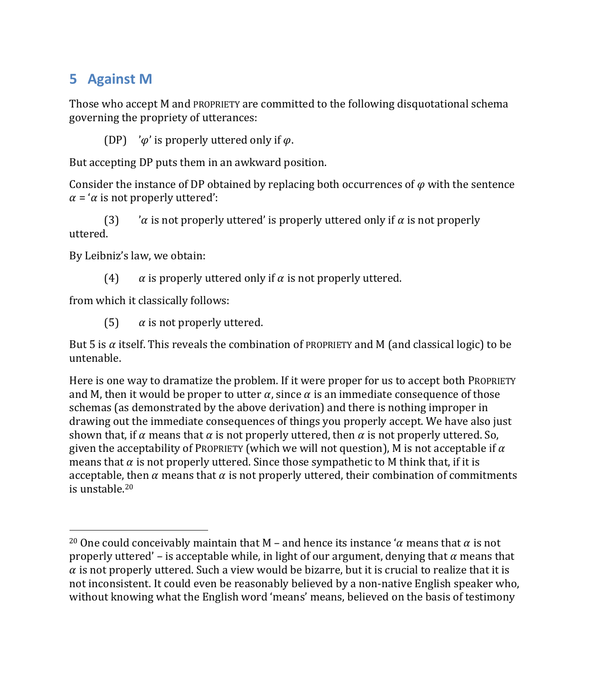### **5 Against M**

Those who accept M and PROPRIETY are committed to the following disquotational schema governing the propriety of utterances:

(DP) ' $\varphi$ ' is properly uttered only if  $\varphi$ .

But accepting DP puts them in an awkward position.

Consider the instance of DP obtained by replacing both occurrences of  $\varphi$  with the sentence  $\alpha$  = ' $\alpha$  is not properly uttered':

(3)  $\alpha$  is not properly uttered' is properly uttered only if  $\alpha$  is not properly uttered.

By Leibniz's law, we obtain:

(4)  $\alpha$  is properly uttered only if  $\alpha$  is not properly uttered.

from which it classically follows:

(5)  $\alpha$  is not properly uttered.

But 5 is  $\alpha$  itself. This reveals the combination of PROPRIETY and M (and classical logic) to be untenable.

Here is one way to dramatize the problem. If it were proper for us to accept both PROPRIETY and M, then it would be proper to utter  $\alpha$ , since  $\alpha$  is an immediate consequence of those schemas (as demonstrated by the above derivation) and there is nothing improper in drawing out the immediate consequences of things you properly accept. We have also just shown that, if  $\alpha$  means that  $\alpha$  is not properly uttered, then  $\alpha$  is not properly uttered. So, given the acceptability of PROPRIETY (which we will not question), M is not acceptable if  $\alpha$ means that  $\alpha$  is not properly uttered. Since those sympathetic to M think that, if it is acceptable, then  $\alpha$  means that  $\alpha$  is not properly uttered, their combination of commitments is unstable.20

<sup>&</sup>lt;sup>20</sup> One could conceivably maintain that M – and hence its instance ' $\alpha$  means that  $\alpha$  is not properly uttered' – is acceptable while, in light of our argument, denying that  $\alpha$  means that  $\alpha$  is not properly uttered. Such a view would be bizarre, but it is crucial to realize that it is not inconsistent. It could even be reasonably believed by a non-native English speaker who, without knowing what the English word 'means' means, believed on the basis of testimony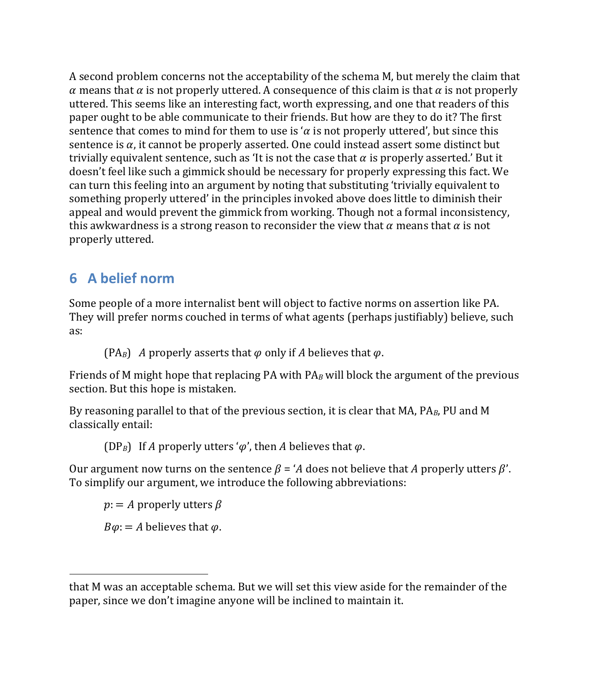A second problem concerns not the acceptability of the schema M, but merely the claim that  $\alpha$  means that  $\alpha$  is not properly uttered. A consequence of this claim is that  $\alpha$  is not properly uttered. This seems like an interesting fact, worth expressing, and one that readers of this paper ought to be able communicate to their friends. But how are they to do it? The first sentence that comes to mind for them to use is ' $\alpha$  is not properly uttered', but since this sentence is  $\alpha$ , it cannot be properly asserted. One could instead assert some distinct but trivially equivalent sentence, such as 'It is not the case that  $\alpha$  is properly asserted.' But it doesn't feel like such a gimmick should be necessary for properly expressing this fact. We can turn this feeling into an argument by noting that substituting 'trivially equivalent to something properly uttered' in the principles invoked above does little to diminish their appeal and would prevent the gimmick from working. Though not a formal inconsistency, this awkwardness is a strong reason to reconsider the view that  $\alpha$  means that  $\alpha$  is not properly uttered.

### **6 A belief norm**

Some people of a more internalist bent will object to factive norms on assertion like PA. They will prefer norms couched in terms of what agents (perhaps justifiably) believe, such as:

(PA<sub>B</sub>) A properly asserts that  $\varphi$  only if A believes that  $\varphi$ .

Friends of M might hope that replacing PA with PA*<sup>B</sup>* will block the argument of the previous section. But this hope is mistaken.

By reasoning parallel to that of the previous section, it is clear that MA, PA*B*, PU and M classically entail:

(DP<sub>B</sub>) If A properly utters ' $\varphi'$ , then A believes that  $\varphi$ .

Our argument now turns on the sentence  $\beta = A$  does not believe that A properly utters  $\beta'$ . To simplify our argument, we introduce the following abbreviations:

 $p: = A$  properly utters  $\beta$  $B\varphi$ : = A believes that  $\varphi$ .

that M was an acceptable schema. But we will set this view aside for the remainder of the paper, since we don't imagine anyone will be inclined to maintain it.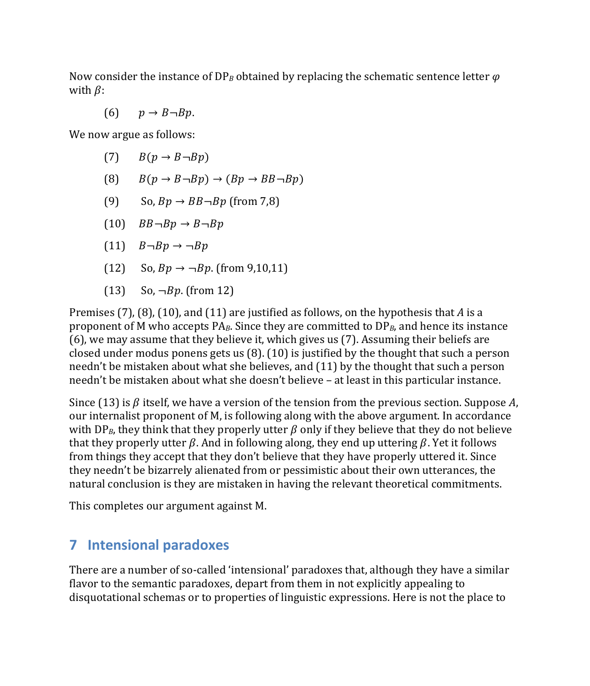Now consider the instance of DP<sub>B</sub> obtained by replacing the schematic sentence letter  $\varphi$ with  $\beta$ :

$$
(6) \qquad p \to B \neg Bp.
$$

We now argue as follows:

- $(B(p \rightarrow B \rightarrow B))$
- (8)  $B(p \rightarrow B \rightarrow Bp) \rightarrow (Bp \rightarrow BB \rightarrow Bp)$
- (9) So,  $Bp \rightarrow BB \rightarrow Bp$  (from 7,8)
- $(10)$   $BB \neg Bp \rightarrow B \neg Bp$
- $(11)$   $B \neg Bp \rightarrow \neg Bp$
- (12) So,  $Bp \to \neg Bp$ . (from 9,10,11)
- $(13)$  So,  $\neg Bp$ . (from 12)

Premises (7), (8), (10), and (11) are justified as follows, on the hypothesis that *A* is a proponent of M who accepts PA*B*. Since they are committed to DP*B*, and hence its instance (6), we may assume that they believe it, which gives us (7). Assuming their beliefs are closed under modus ponens gets us (8). (10) is justified by the thought that such a person needn't be mistaken about what she believes, and (11) by the thought that such a person needn't be mistaken about what she doesn't believe – at least in this particular instance.

Since (13) is  $\beta$  itself, we have a version of the tension from the previous section. Suppose A, our internalist proponent of M, is following along with the above argument. In accordance with DP<sub>B</sub>, they think that they properly utter  $\beta$  only if they believe that they do not believe that they properly utter  $\beta$ . And in following along, they end up uttering  $\beta$ . Yet it follows from things they accept that they don't believe that they have properly uttered it. Since they needn't be bizarrely alienated from or pessimistic about their own utterances, the natural conclusion is they are mistaken in having the relevant theoretical commitments.

This completes our argument against M.

#### **7 Intensional paradoxes**

There are a number of so-called 'intensional' paradoxes that, although they have a similar flavor to the semantic paradoxes, depart from them in not explicitly appealing to disquotational schemas or to properties of linguistic expressions. Here is not the place to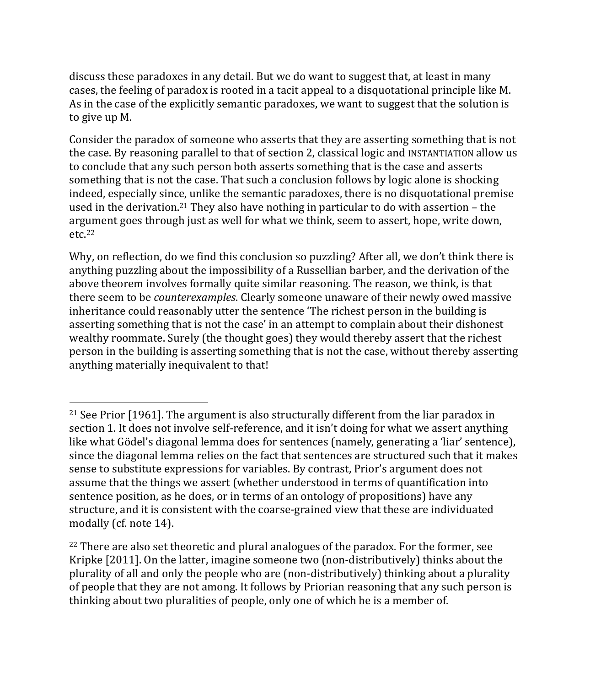discuss these paradoxes in any detail. But we do want to suggest that, at least in many cases, the feeling of paradox is rooted in a tacit appeal to a disquotational principle like M. As in the case of the explicitly semantic paradoxes, we want to suggest that the solution is to give up M.

Consider the paradox of someone who asserts that they are asserting something that is not the case. By reasoning parallel to that of section 2, classical logic and INSTANTIATION allow us to conclude that any such person both asserts something that is the case and asserts something that is not the case. That such a conclusion follows by logic alone is shocking indeed, especially since, unlike the semantic paradoxes, there is no disquotational premise used in the derivation.<sup>21</sup> They also have nothing in particular to do with assertion – the argument goes through just as well for what we think, seem to assert, hope, write down, etc.22

Why, on reflection, do we find this conclusion so puzzling? After all, we don't think there is anything puzzling about the impossibility of a Russellian barber, and the derivation of the above theorem involves formally quite similar reasoning. The reason, we think, is that there seem to be *counterexamples*. Clearly someone unaware of their newly owed massive inheritance could reasonably utter the sentence 'The richest person in the building is asserting something that is not the case' in an attempt to complain about their dishonest wealthy roommate. Surely (the thought goes) they would thereby assert that the richest person in the building is asserting something that is not the case, without thereby asserting anything materially inequivalent to that!

<sup>&</sup>lt;sup>21</sup> See Prior [1961]. The argument is also structurally different from the liar paradox in section 1. It does not involve self-reference, and it isn't doing for what we assert anything like what Gödel's diagonal lemma does for sentences (namely, generating a 'liar' sentence), since the diagonal lemma relies on the fact that sentences are structured such that it makes sense to substitute expressions for variables. By contrast, Prior's argument does not assume that the things we assert (whether understood in terms of quantification into sentence position, as he does, or in terms of an ontology of propositions) have any structure, and it is consistent with the coarse-grained view that these are individuated modally (cf. note 14).

<sup>&</sup>lt;sup>22</sup> There are also set theoretic and plural analogues of the paradox. For the former, see Kripke [2011]. On the latter, imagine someone two (non-distributively) thinks about the plurality of all and only the people who are (non-distributively) thinking about a plurality of people that they are not among. It follows by Priorian reasoning that any such person is thinking about two pluralities of people, only one of which he is a member of.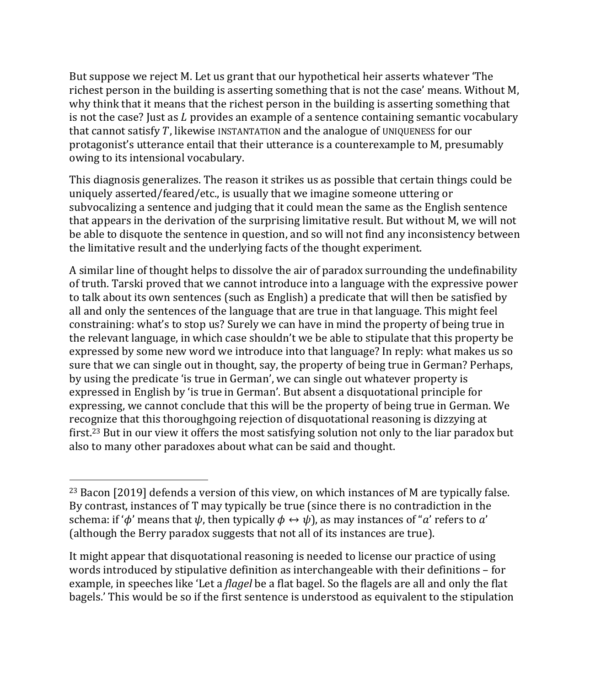But suppose we reject M. Let us grant that our hypothetical heir asserts whatever 'The richest person in the building is asserting something that is not the case' means. Without M, why think that it means that the richest person in the building is asserting something that is not the case? Just as  $L$  provides an example of a sentence containing semantic vocabulary that cannot satisfy  $T$ , likewise INSTANTATION and the analogue of UNIQUENESS for our protagonist's utterance entail that their utterance is a counterexample to M, presumably owing to its intensional vocabulary.

This diagnosis generalizes. The reason it strikes us as possible that certain things could be uniquely asserted/feared/etc., is usually that we imagine someone uttering or subvocalizing a sentence and judging that it could mean the same as the English sentence that appears in the derivation of the surprising limitative result. But without M, we will not be able to disquote the sentence in question, and so will not find any inconsistency between the limitative result and the underlying facts of the thought experiment.

A similar line of thought helps to dissolve the air of paradox surrounding the undefinability of truth. Tarski proved that we cannot introduce into a language with the expressive power to talk about its own sentences (such as English) a predicate that will then be satisfied by all and only the sentences of the language that are true in that language. This might feel constraining: what's to stop us? Surely we can have in mind the property of being true in the relevant language, in which case shouldn't we be able to stipulate that this property be expressed by some new word we introduce into that language? In reply: what makes us so sure that we can single out in thought, say, the property of being true in German? Perhaps, by using the predicate 'is true in German', we can single out whatever property is expressed in English by 'is true in German'. But absent a disquotational principle for expressing, we cannot conclude that this will be the property of being true in German. We recognize that this thoroughgoing rejection of disquotational reasoning is dizzying at first.23 But in our view it offers the most satisfying solution not only to the liar paradox but also to many other paradoxes about what can be said and thought.

It might appear that disquotational reasoning is needed to license our practice of using words introduced by stipulative definition as interchangeable with their definitions – for example, in speeches like 'Let a *flagel* be a flat bagel. So the flagels are all and only the flat bagels.' This would be so if the first sentence is understood as equivalent to the stipulation

 $23$  Bacon [2019] defends a version of this view, on which instances of M are typically false. By contrast, instances of T may typically be true (since there is no contradiction in the schema: if ' $\phi$ ' means that  $\psi$ , then typically  $\phi \leftrightarrow \psi$ ), as may instances of "a' refers to a' (although the Berry paradox suggests that not all of its instances are true).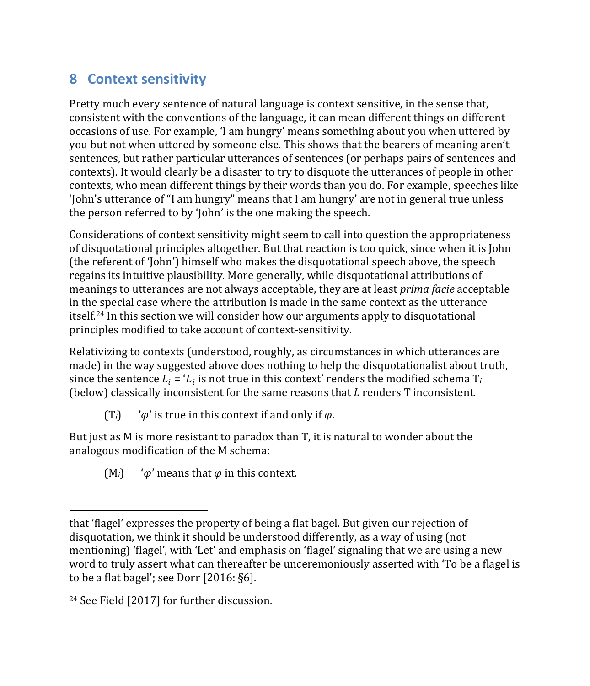# **8 Context sensitivity**

Pretty much every sentence of natural language is context sensitive, in the sense that, consistent with the conventions of the language, it can mean different things on different occasions of use. For example, 'I am hungry' means something about you when uttered by you but not when uttered by someone else. This shows that the bearers of meaning aren't sentences, but rather particular utterances of sentences (or perhaps pairs of sentences and contexts). It would clearly be a disaster to try to disquote the utterances of people in other contexts, who mean different things by their words than you do. For example, speeches like 'John's utterance of "I am hungry" means that I am hungry' are not in general true unless the person referred to by 'John' is the one making the speech.

Considerations of context sensitivity might seem to call into question the appropriateness of disquotational principles altogether. But that reaction is too quick, since when it is John (the referent of 'John') himself who makes the disquotational speech above, the speech regains its intuitive plausibility. More generally, while disquotational attributions of meanings to utterances are not always acceptable, they are at least *prima facie* acceptable in the special case where the attribution is made in the same context as the utterance itself.24 In this section we will consider how our arguments apply to disquotational principles modified to take account of context-sensitivity.

Relativizing to contexts (understood, roughly, as circumstances in which utterances are made) in the way suggested above does nothing to help the disquotationalist about truth, since the sentence  $L_i = L_i$  is not true in this context' renders the modified schema  $T_i$ (below) classically inconsistent for the same reasons that  $L$  renders  $T$  inconsistent.

 $(T_i)$  ' $\varphi$ ' is true in this context if and only if  $\varphi$ .

But just as M is more resistant to paradox than T, it is natural to wonder about the analogous modification of the M schema:

 $(M_i)$  ' $\varphi$ ' means that  $\varphi$  in this context.

that 'flagel' expresses the property of being a flat bagel. But given our rejection of disquotation, we think it should be understood differently, as a way of using (not mentioning) 'flagel', with 'Let' and emphasis on 'flagel' signaling that we are using a new word to truly assert what can thereafter be unceremoniously asserted with 'To be a flagel is to be a flat bagel'; see Dorr [2016: §6].

<sup>24</sup> See Field [2017] for further discussion.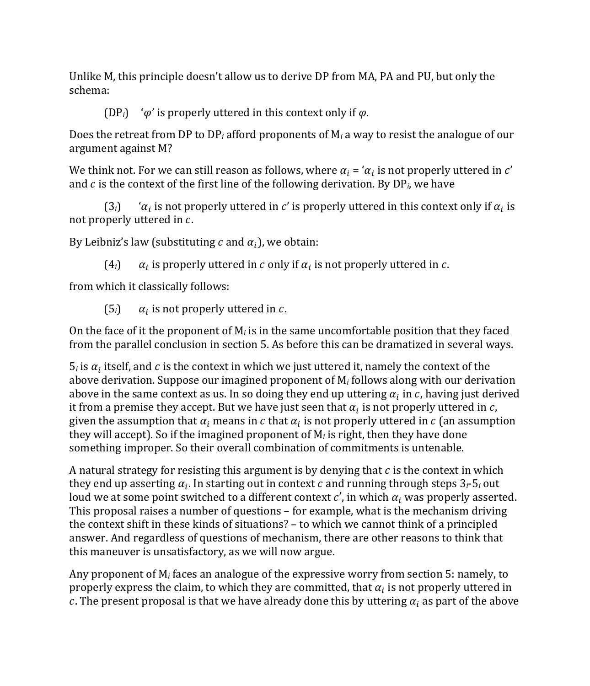Unlike M, this principle doesn't allow us to derive DP from MA, PA and PU, but only the schema:

(DP<sub>i</sub>) ' $\varphi$ ' is properly uttered in this context only if  $\varphi$ .

Does the retreat from DP to DP*<sup>i</sup>* afford proponents of M*<sup>i</sup>* a way to resist the analogue of our argument against M?

We think not. For we can still reason as follows, where  $\alpha_i = \alpha_i$  is not properly uttered in c' and  $c$  is the context of the first line of the following derivation. By  $DP_i$ , we have

 $(3<sub>i</sub>)$  ' $\alpha<sub>i</sub>$  is not properly uttered in c' is properly uttered in this context only if  $\alpha<sub>i</sub>$  is not properly uttered in  $c$ .

By Leibniz's law (substituting  $c$  and  $\alpha_i$ ), we obtain:

 $(4<sub>i</sub>)$   $\alpha_i$  is properly uttered in c only if  $\alpha_i$  is not properly uttered in c.

from which it classically follows:

 $(5_i)$   $\alpha_i$  is not properly uttered in c.

On the face of it the proponent of M*<sup>i</sup>* is in the same uncomfortable position that they faced from the parallel conclusion in section 5. As before this can be dramatized in several ways.

 $5<sub>i</sub>$  is  $\alpha<sub>i</sub>$  itself, and c is the context in which we just uttered it, namely the context of the above derivation. Suppose our imagined proponent of M*<sup>i</sup>* follows along with our derivation above in the same context as us. In so doing they end up uttering  $\alpha_i$  in c, having just derived it from a premise they accept. But we have just seen that  $\alpha_i$  is not properly uttered in  $c$ , given the assumption that  $\alpha_i$  means in c that  $\alpha_i$  is not properly uttered in c (an assumption they will accept). So if the imagined proponent of M*<sup>i</sup>* is right, then they have done something improper. So their overall combination of commitments is untenable.

A natural strategy for resisting this argument is by denying that  $c$  is the context in which they end up asserting  $\alpha_i$ . In starting out in context c and running through steps  $3_i$ - $5_i$  out loud we at some point switched to a different context  $c'$ , in which  $\alpha_i$  was properly asserted. This proposal raises a number of questions – for example, what is the mechanism driving the context shift in these kinds of situations? – to which we cannot think of a principled answer. And regardless of questions of mechanism, there are other reasons to think that this maneuver is unsatisfactory, as we will now argue.

Any proponent of M*<sup>i</sup>* faces an analogue of the expressive worry from section 5: namely, to properly express the claim, to which they are committed, that  $\alpha_i$  is not properly uttered in c. The present proposal is that we have already done this by uttering  $\alpha_i$  as part of the above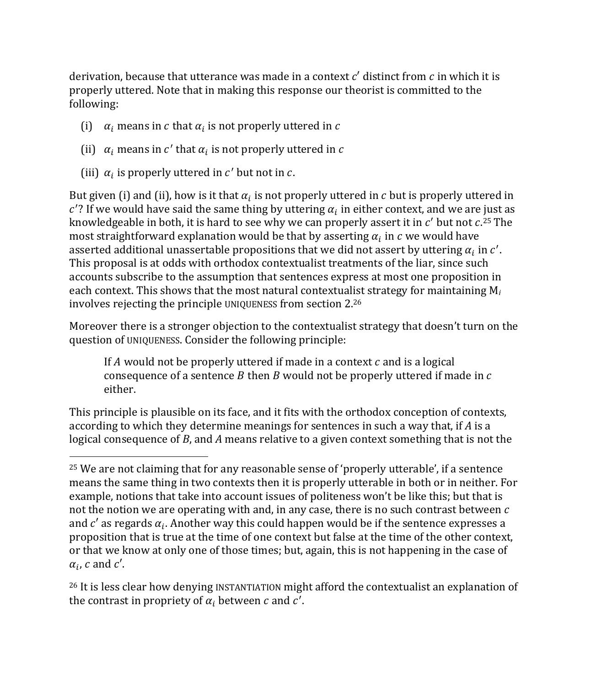derivation, because that utterance was made in a context  $c'$  distinct from  $c$  in which it is properly uttered. Note that in making this response our theorist is committed to the following:

- (i)  $\alpha_i$  means in c that  $\alpha_i$  is not properly uttered in c
- (ii)  $\alpha_i$  means in c' that  $\alpha_i$  is not properly uttered in c
- (iii)  $\alpha_i$  is properly uttered in c' but not in c.

But given (i) and (ii), how is it that  $\alpha_i$  is not properly uttered in c but is properly uttered in  $c'$ ? If we would have said the same thing by uttering  $\alpha_i$  in either context, and we are just as knowledgeable in both, it is hard to see why we can properly assert it in  $c'$  but not  $c.^{25}$  The most straightforward explanation would be that by asserting  $\alpha_i$  in  $c$  we would have asserted additional unassertable propositions that we did not assert by uttering  $\alpha_i$  in  $c'.$ This proposal is at odds with orthodox contextualist treatments of the liar, since such accounts subscribe to the assumption that sentences express at most one proposition in each context. This shows that the most natural contextualist strategy for maintaining M*<sup>i</sup>* involves rejecting the principle UNIQUENESS from section 2.26

Moreover there is a stronger objection to the contextualist strategy that doesn't turn on the question of UNIQUENESS. Consider the following principle:

If A would not be properly uttered if made in a context  $c$  and is a logical consequence of a sentence  $B$  then  $B$  would not be properly uttered if made in  $c$ either.

This principle is plausible on its face, and it fits with the orthodox conception of contexts, according to which they determine meanings for sentences in such a way that, if *A* is a logical consequence of *B*, and *A* means relative to a given context something that is not the

<sup>26</sup> It is less clear how denying INSTANTIATION might afford the contextualist an explanation of the contrast in propriety of  $\alpha_i$  between  $c$  and  $c'$ .

<sup>25</sup> We are not claiming that for any reasonable sense of 'properly utterable', if a sentence means the same thing in two contexts then it is properly utterable in both or in neither. For example, notions that take into account issues of politeness won't be like this; but that is not the notion we are operating with and, in any case, there is no such contrast between  $c$ and  $c'$  as regards  $\alpha_i$ . Another way this could happen would be if the sentence expresses a proposition that is true at the time of one context but false at the time of the other context, or that we know at only one of those times; but, again, this is not happening in the case of  $\alpha_i$ , c and c'.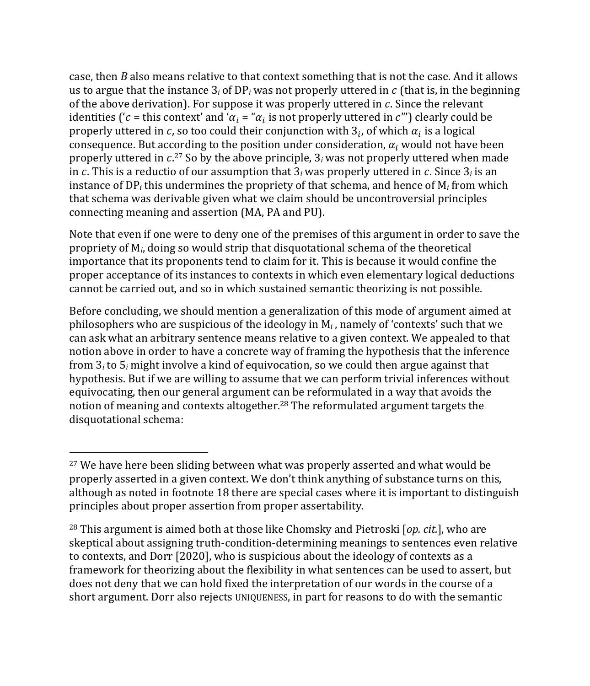case, then *B* also means relative to that context something that is not the case. And it allows us to argue that the instance  $3<sub>i</sub>$  of DP<sub>i</sub> was not properly uttered in  $c$  (that is, in the beginning of the above derivation). For suppose it was properly uttered in  $c$ . Since the relevant identities ('c = this context' and ' $\alpha_i$  = " $\alpha_i$  is not properly uttered in c''') clearly could be properly uttered in c, so too could their conjunction with  $3<sub>i</sub>$ , of which  $\alpha<sub>i</sub>$  is a logical consequence. But according to the position under consideration,  $\alpha_i$  would not have been properly uttered in  $c$ .<sup>27</sup> So by the above principle, 3 $_i$  was not properly uttered when made in c. This is a reductio of our assumption that  $3<sub>i</sub>$  was properly uttered in c. Since  $3<sub>i</sub>$  is an instance of DP*<sup>i</sup>* this undermines the propriety of that schema, and hence of M*<sup>i</sup>* from which that schema was derivable given what we claim should be uncontroversial principles connecting meaning and assertion (MA, PA and PU).

Note that even if one were to deny one of the premises of this argument in order to save the propriety of M*i*, doing so would strip that disquotational schema of the theoretical importance that its proponents tend to claim for it. This is because it would confine the proper acceptance of its instances to contexts in which even elementary logical deductions cannot be carried out, and so in which sustained semantic theorizing is not possible.

Before concluding, we should mention a generalization of this mode of argument aimed at philosophers who are suspicious of the ideology in M*<sup>i</sup>* , namely of 'contexts' such that we can ask what an arbitrary sentence means relative to a given context. We appealed to that notion above in order to have a concrete way of framing the hypothesis that the inference from 3*<sup>i</sup>* to 5*<sup>i</sup>* might involve a kind of equivocation, so we could then argue against that hypothesis. But if we are willing to assume that we can perform trivial inferences without equivocating, then our general argument can be reformulated in a way that avoids the notion of meaning and contexts altogether.28 The reformulated argument targets the disquotational schema:

<sup>&</sup>lt;sup>27</sup> We have here been sliding between what was properly asserted and what would be properly asserted in a given context. We don't think anything of substance turns on this, although as noted in footnote 18 there are special cases where it is important to distinguish principles about proper assertion from proper assertability.

<sup>28</sup> This argument is aimed both at those like Chomsky and Pietroski [*op. cit.*], who are skeptical about assigning truth-condition-determining meanings to sentences even relative to contexts, and Dorr [2020], who is suspicious about the ideology of contexts as a framework for theorizing about the flexibility in what sentences can be used to assert, but does not deny that we can hold fixed the interpretation of our words in the course of a short argument. Dorr also rejects UNIQUENESS, in part for reasons to do with the semantic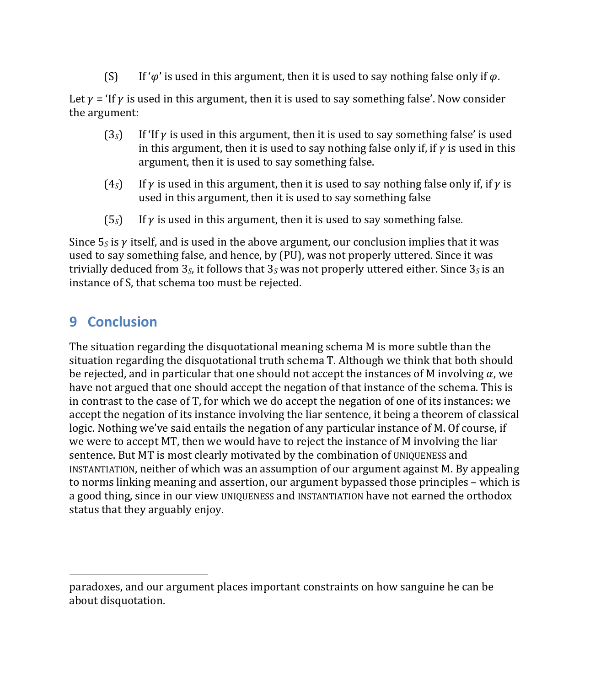(S) If ' $\varphi'$  is used in this argument, then it is used to say nothing false only if  $\varphi$ .

Let  $\gamma$  = 'If  $\gamma$  is used in this argument, then it is used to say something false'. Now consider the argument:

- $(3s)$  If 'If  $\gamma$  is used in this argument, then it is used to say something false' is used in this argument, then it is used to say nothing false only if, if  $\nu$  is used in this argument, then it is used to say something false.
- (4<sub>S</sub>) If  $\gamma$  is used in this argument, then it is used to say nothing false only if, if  $\gamma$  is used in this argument, then it is used to say something false
- $(5<sub>s</sub>)$  If  $\gamma$  is used in this argument, then it is used to say something false.

Since  $5<sub>S</sub>$  is  $\gamma$  itself, and is used in the above argument, our conclusion implies that it was used to say something false, and hence, by (PU), was not properly uttered. Since it was trivially deduced from  $3<sub>S</sub>$ , it follows that  $3<sub>S</sub>$  was not properly uttered either. Since  $3<sub>S</sub>$  is an instance of S, that schema too must be rejected.

### **9 Conclusion**

The situation regarding the disquotational meaning schema M is more subtle than the situation regarding the disquotational truth schema T. Although we think that both should be rejected, and in particular that one should not accept the instances of M involving  $\alpha$ , we have not argued that one should accept the negation of that instance of the schema. This is in contrast to the case of T, for which we do accept the negation of one of its instances: we accept the negation of its instance involving the liar sentence, it being a theorem of classical logic. Nothing we've said entails the negation of any particular instance of M. Of course, if we were to accept MT, then we would have to reject the instance of M involving the liar sentence. But MT is most clearly motivated by the combination of UNIQUENESS and INSTANTIATION, neither of which was an assumption of our argument against M. By appealing to norms linking meaning and assertion, our argument bypassed those principles – which is a good thing, since in our view UNIQUENESS and INSTANTIATION have not earned the orthodox status that they arguably enjoy.

paradoxes, and our argument places important constraints on how sanguine he can be about disquotation.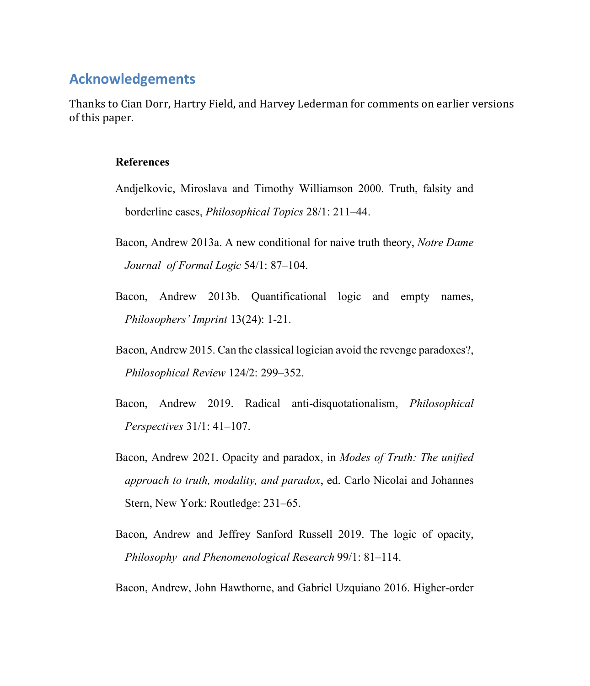#### **Acknowledgements**

Thanks to Cian Dorr, Hartry Field, and Harvey Lederman for comments on earlier versions of this paper.

#### **References**

- Andjelkovic, Miroslava and Timothy Williamson 2000. Truth, falsity and borderline cases, *Philosophical Topics* 28/1: 211–44.
- Bacon, Andrew 2013a. A new conditional for naive truth theory, *Notre Dame Journal of Formal Logic* 54/1: 87–104.
- Bacon, Andrew 2013b. Quantificational logic and empty names, *Philosophers' Imprint* 13(24): 1-21.
- Bacon, Andrew 2015. Can the classical logician avoid the revenge paradoxes?, *Philosophical Review* 124/2: 299–352.
- Bacon, Andrew 2019. Radical anti-disquotationalism, *Philosophical Perspectives* 31/1: 41–107.
- Bacon, Andrew 2021. Opacity and paradox, in *Modes of Truth: The unified approach to truth, modality, and paradox*, ed. Carlo Nicolai and Johannes Stern, New York: Routledge: 231–65.
- Bacon, Andrew and Jeffrey Sanford Russell 2019. The logic of opacity, *Philosophy and Phenomenological Research* 99/1: 81–114.

Bacon, Andrew, John Hawthorne, and Gabriel Uzquiano 2016. Higher-order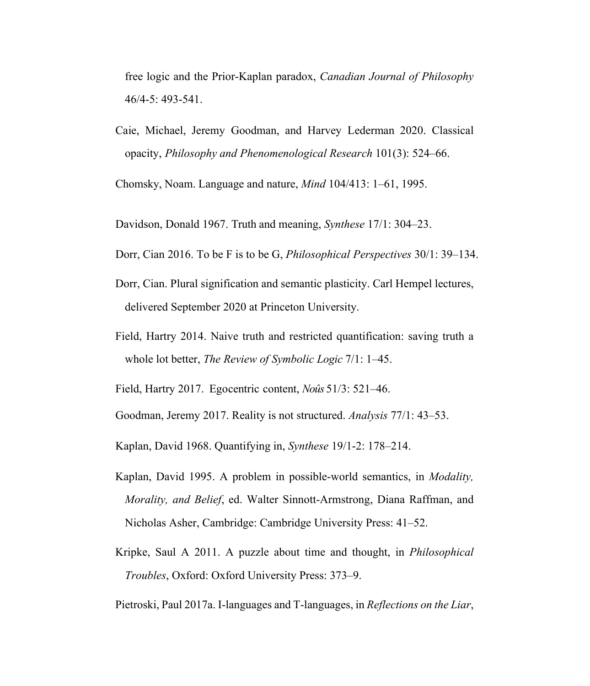free logic and the Prior-Kaplan paradox, *Canadian Journal of Philosophy* 46/4-5: 493-541.

Caie, Michael, Jeremy Goodman, and Harvey Lederman 2020. Classical opacity, *Philosophy and Phenomenological Research* 101(3): 524–66.

Chomsky, Noam. Language and nature, *Mind* 104/413: 1–61, 1995.

Davidson, Donald 1967. Truth and meaning, *Synthese* 17/1: 304–23.

Dorr, Cian 2016. To be F is to be G, *Philosophical Perspectives* 30/1: 39–134.

- Dorr, Cian. Plural signification and semantic plasticity. Carl Hempel lectures, delivered September 2020 at Princeton University.
- Field, Hartry 2014. Naive truth and restricted quantification: saving truth a whole lot better, *The Review of Symbolic Logic* 7/1: 1–45.

Field, Hartry 2017. Egocentric content, *Noûs* 51/3: 521–46.

Goodman, Jeremy 2017. Reality is not structured. *Analysis* 77/1: 43–53.

Kaplan, David 1968. Quantifying in, *Synthese* 19/1-2: 178–214.

- Kaplan, David 1995. A problem in possible-world semantics, in *Modality, Morality, and Belief*, ed. Walter Sinnott-Armstrong, Diana Raffman, and Nicholas Asher, Cambridge: Cambridge University Press: 41–52.
- Kripke, Saul A 2011. A puzzle about time and thought, in *Philosophical Troubles*, Oxford: Oxford University Press: 373–9.

Pietroski, Paul 2017a. I-languages and T-languages, in *Reflections on the Liar*,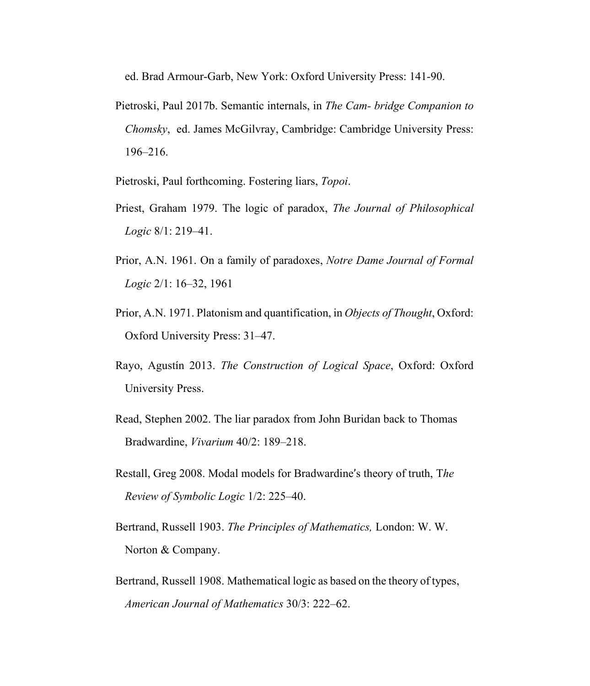ed. Brad Armour-Garb, New York: Oxford University Press: 141-90.

Pietroski, Paul 2017b. Semantic internals, in *The Cam- bridge Companion to Chomsky*, ed. James McGilvray, Cambridge: Cambridge University Press: 196–216.

Pietroski, Paul forthcoming. Fostering liars, *Topoi*.

- Priest, Graham 1979. The logic of paradox, *The Journal of Philosophical Logic* 8/1: 219–41.
- Prior, A.N. 1961. On a family of paradoxes, *Notre Dame Journal of Formal Logic* 2/1: 16–32, 1961
- Prior, A.N. 1971. Platonism and quantification, in *Objects of Thought*, Oxford: Oxford University Press: 31–47.
- Rayo, Agustín 2013. *The Construction of Logical Space*, Oxford: Oxford University Press.
- Read, Stephen 2002. The liar paradox from John Buridan back to Thomas Bradwardine, *Vivarium* 40/2: 189–218.
- Restall, Greg 2008. Modal models for Bradwardine's theory of truth, T*he Review of Symbolic Logic* 1/2: 225–40.
- Bertrand, Russell 1903. *The Principles of Mathematics,* London: W. W. Norton & Company.
- Bertrand, Russell 1908. Mathematical logic as based on the theory of types, *American Journal of Mathematics* 30/3: 222–62.